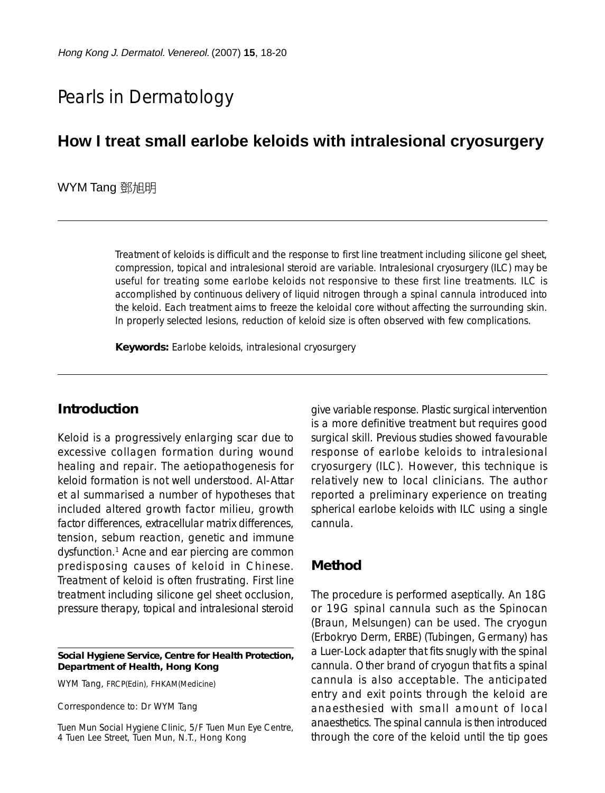# Pearls in Dermatology

## **How I treat small earlobe keloids with intralesional cryosurgery**

#### WYM Tang 鄧旭明

Treatment of keloids is difficult and the response to first line treatment including silicone gel sheet, compression, topical and intralesional steroid are variable. Intralesional cryosurgery (ILC) may be useful for treating some earlobe keloids not responsive to these first line treatments. ILC is accomplished by continuous delivery of liquid nitrogen through a spinal cannula introduced into the keloid. Each treatment aims to freeze the keloidal core without affecting the surrounding skin. In properly selected lesions, reduction of keloid size is often observed with few complications.

**Keywords:** Earlobe keloids, intralesional cryosurgery

#### **Introduction**

Keloid is a progressively enlarging scar due to excessive collagen formation during wound healing and repair. The aetiopathogenesis for keloid formation is not well understood. Al-Attar et al summarised a number of hypotheses that included altered growth factor milieu, growth factor differences, extracellular matrix differences, tension, sebum reaction, genetic and immune dysfunction.1 Acne and ear piercing are common predisposing causes of keloid in Chinese. Treatment of keloid is often frustrating. First line treatment including silicone gel sheet occlusion, pressure therapy, topical and intralesional steroid

**Social Hygiene Service, Centre for Health Protection, Department of Health, Hong Kong**

WYM Tang, FRCP(Edin), FHKAM(Medicine)

Correspondence to: Dr WYM Tang

Tuen Mun Social Hygiene Clinic, 5/F Tuen Mun Eye Centre, 4 Tuen Lee Street, Tuen Mun, N.T., Hong Kong

give variable response. Plastic surgical intervention is a more definitive treatment but requires good surgical skill. Previous studies showed favourable response of earlobe keloids to intralesional cryosurgery (ILC). However, this technique is relatively new to local clinicians. The author reported a preliminary experience on treating spherical earlobe keloids with ILC using a single cannula.

#### **Method**

The procedure is performed aseptically. An 18G or 19G spinal cannula such as the Spinocan (Braun, Melsungen) can be used. The cryogun (Erbokryo Derm, ERBE) (Tubingen, Germany) has a Luer-Lock adapter that fits snugly with the spinal cannula. Other brand of cryogun that fits a spinal cannula is also acceptable. The anticipated entry and exit points through the keloid are anaesthesied with small amount of local anaesthetics. The spinal cannula is then introduced through the core of the keloid until the tip goes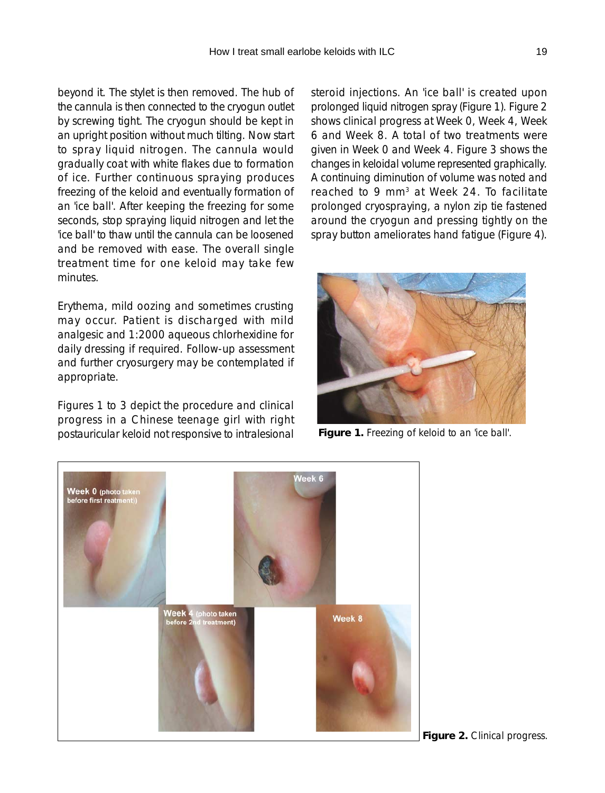beyond it. The stylet is then removed. The hub of the cannula is then connected to the cryogun outlet by screwing tight. The cryogun should be kept in an upright position without much tilting. Now start to spray liquid nitrogen. The cannula would gradually coat with white flakes due to formation of ice. Further continuous spraying produces freezing of the keloid and eventually formation of an 'ice ball'. After keeping the freezing for some seconds, stop spraying liquid nitrogen and let the 'ice ball' to thaw until the cannula can be loosened and be removed with ease. The overall single treatment time for one keloid may take few minutes.

Erythema, mild oozing and sometimes crusting may occur. Patient is discharged with mild analgesic and 1:2000 aqueous chlorhexidine for daily dressing if required. Follow-up assessment and further cryosurgery may be contemplated if appropriate.

Figures 1 to 3 depict the procedure and clinical progress in a Chinese teenage girl with right postauricular keloid not responsive to intralesional **Figure 1.** Freezing of keloid to an 'ice ball'.

steroid injections. An 'ice ball' is created upon prolonged liquid nitrogen spray (Figure 1). Figure 2 shows clinical progress at Week 0, Week 4, Week 6 and Week 8. A total of two treatments were given in Week 0 and Week 4. Figure 3 shows the changes in keloidal volume represented graphically. A continuing diminution of volume was noted and reached to 9 mm<sup>3</sup> at Week 24. To facilitate prolonged cryospraying, a nylon zip tie fastened around the cryogun and pressing tightly on the spray button ameliorates hand fatigue (Figure 4).





**Figure 2.** Clinical progress.